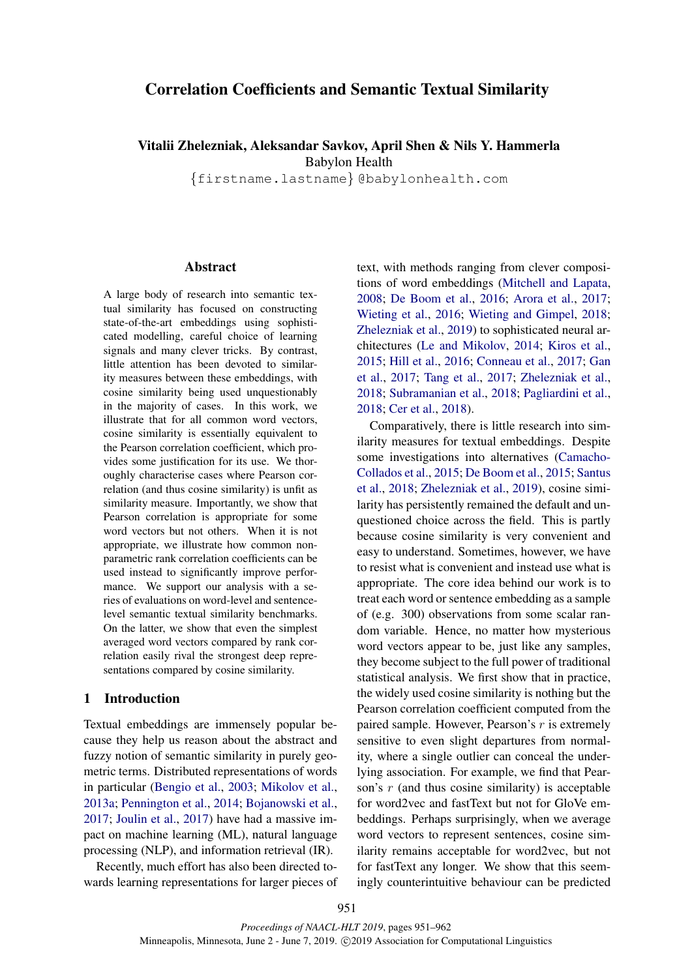# Correlation Coefficients and Semantic Textual Similarity

Vitalii Zhelezniak, Aleksandar Savkov, April Shen & Nils Y. Hammerla Babylon Health

*{*firstname.lastname*}* @babylonhealth.com

### **Abstract**

A large body of research into semantic textual similarity has focused on constructing state-of-the-art embeddings using sophisticated modelling, careful choice of learning signals and many clever tricks. By contrast, little attention has been devoted to similarity measures between these embeddings, with cosine similarity being used unquestionably in the majority of cases. In this work, we illustrate that for all common word vectors, cosine similarity is essentially equivalent to the Pearson correlation coefficient, which provides some justification for its use. We thoroughly characterise cases where Pearson correlation (and thus cosine similarity) is unfit as similarity measure. Importantly, we show that Pearson correlation is appropriate for some word vectors but not others. When it is not appropriate, we illustrate how common nonparametric rank correlation coefficients can be used instead to significantly improve performance. We support our analysis with a series of evaluations on word-level and sentencelevel semantic textual similarity benchmarks. On the latter, we show that even the simplest averaged word vectors compared by rank correlation easily rival the strongest deep representations compared by cosine similarity.

### 1 Introduction

Textual embeddings are immensely popular because they help us reason about the abstract and fuzzy notion of semantic similarity in purely geometric terms. Distributed representations of words in particular ([Bengio et al.](#page-9-0), [2003](#page-9-0); [Mikolov et al.,](#page-10-0) [2013a;](#page-10-0) [Pennington et al.](#page-10-1), [2014;](#page-10-1) [Bojanowski et al.,](#page-9-1) [2017;](#page-9-1) [Joulin et al.,](#page-10-2) [2017\)](#page-10-2) have had a massive impact on machine learning (ML), natural language processing (NLP), and information retrieval (IR).

Recently, much effort has also been directed towards learning representations for larger pieces of text, with methods ranging from clever compositions of word embeddings [\(Mitchell and Lapata,](#page-10-3) [2008](#page-10-3); [De Boom et al.](#page-9-2), [2016;](#page-9-2) [Arora et al.,](#page-9-3) [2017;](#page-9-3) [Wieting et al.](#page-11-0), [2016](#page-11-0); [Wieting and Gimpel](#page-11-1), [2018;](#page-11-1) [Zhelezniak et al.,](#page-11-2) [2019\)](#page-11-2) to sophisticated neural architectures [\(Le and Mikolov,](#page-10-4) [2014](#page-10-4); [Kiros et al.,](#page-10-5) [2015](#page-10-5); [Hill et al.,](#page-10-6) [2016](#page-10-6); [Conneau et al.,](#page-9-4) [2017](#page-9-4); [Gan](#page-10-7) [et al.,](#page-10-7) [2017](#page-10-7); [Tang et al.,](#page-11-3) [2017](#page-11-3); [Zhelezniak et al.,](#page-11-4) [2018](#page-11-4); [Subramanian et al.](#page-11-5), [2018;](#page-11-5) [Pagliardini et al.,](#page-10-8) [2018](#page-10-8); [Cer et al.,](#page-9-5) [2018\)](#page-9-5).

Comparatively, there is little research into similarity measures for textual embeddings. Despite some investigations into alternatives ([Camacho-](#page-9-6)[Collados et al.,](#page-9-6) [2015](#page-9-6); [De Boom et al.,](#page-9-7) [2015](#page-9-7); [Santus](#page-11-6) [et al.,](#page-11-6) [2018](#page-11-6); [Zhelezniak et al.](#page-11-2), [2019\)](#page-11-2), cosine similarity has persistently remained the default and unquestioned choice across the field. This is partly because cosine similarity is very convenient and easy to understand. Sometimes, however, we have to resist what is convenient and instead use what is appropriate. The core idea behind our work is to treat each word or sentence embedding as a sample of (e.g. 300) observations from some scalar random variable. Hence, no matter how mysterious word vectors appear to be, just like any samples, they become subject to the full power of traditional statistical analysis. We first show that in practice, the widely used cosine similarity is nothing but the Pearson correlation coefficient computed from the paired sample. However, Pearson's *r* is extremely sensitive to even slight departures from normality, where a single outlier can conceal the underlying association. For example, we find that Pearson's *r* (and thus cosine similarity) is acceptable for word2vec and fastText but not for GloVe embeddings. Perhaps surprisingly, when we average word vectors to represent sentences, cosine similarity remains acceptable for word2vec, but not for fastText any longer. We show that this seemingly counterintuitive behaviour can be predicted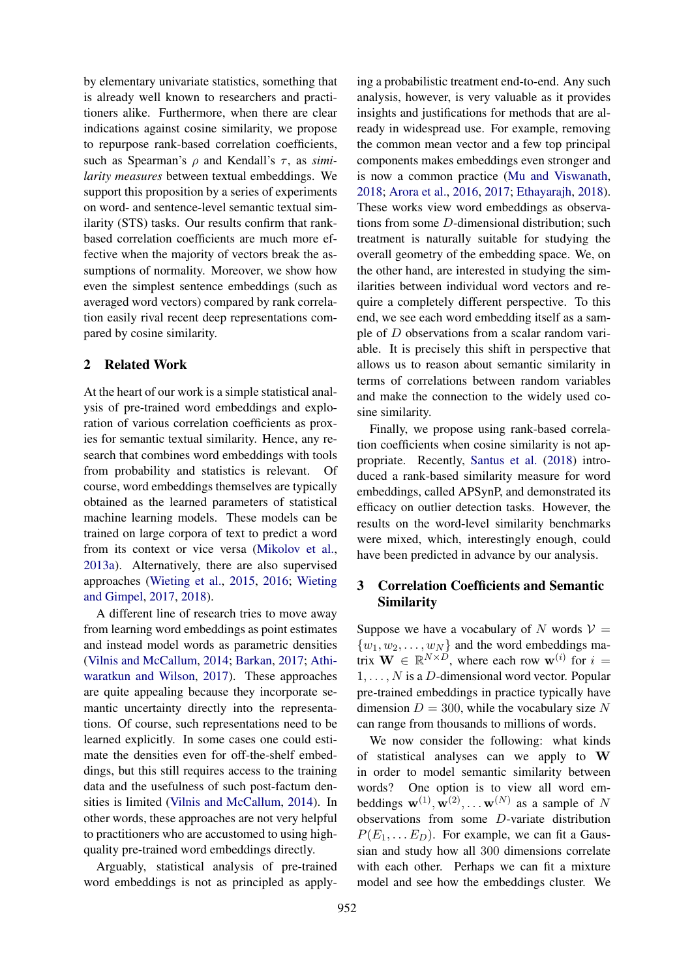by elementary univariate statistics, something that is already well known to researchers and practitioners alike. Furthermore, when there are clear indications against cosine similarity, we propose to repurpose rank-based correlation coefficients, such as Spearman's *ρ* and Kendall's *τ*, as *similarity measures* between textual embeddings. We support this proposition by a series of experiments on word- and sentence-level semantic textual similarity (STS) tasks. Our results confirm that rankbased correlation coefficients are much more effective when the majority of vectors break the assumptions of normality. Moreover, we show how even the simplest sentence embeddings (such as averaged word vectors) compared by rank correlation easily rival recent deep representations compared by cosine similarity.

### 2 Related Work

At the heart of our work is a simple statistical analysis of pre-trained word embeddings and exploration of various correlation coefficients as proxies for semantic textual similarity. Hence, any research that combines word embeddings with tools from probability and statistics is relevant. Of course, word embeddings themselves are typically obtained as the learned parameters of statistical machine learning models. These models can be trained on large corpora of text to predict a word from its context or vice versa [\(Mikolov et al.,](#page-10-0) [2013a\)](#page-10-0). Alternatively, there are also supervised approaches ([Wieting et al.,](#page-11-7) [2015](#page-11-7), [2016](#page-11-0); [Wieting](#page-11-8) [and Gimpel](#page-11-8), [2017](#page-11-8), [2018\)](#page-11-1).

A different line of research tries to move away from learning word embeddings as point estimates and instead model words as parametric densities ([Vilnis and McCallum,](#page-11-9) [2014;](#page-11-9) [Barkan](#page-9-8), [2017](#page-9-8); [Athi](#page-9-9)[waratkun and Wilson,](#page-9-9) [2017\)](#page-9-9). These approaches are quite appealing because they incorporate semantic uncertainty directly into the representations. Of course, such representations need to be learned explicitly. In some cases one could estimate the densities even for off-the-shelf embeddings, but this still requires access to the training data and the usefulness of such post-factum densities is limited [\(Vilnis and McCallum,](#page-11-9) [2014](#page-11-9)). In other words, these approaches are not very helpful to practitioners who are accustomed to using highquality pre-trained word embeddings directly.

Arguably, statistical analysis of pre-trained word embeddings is not as principled as apply-

ing a probabilistic treatment end-to-end. Any such analysis, however, is very valuable as it provides insights and justifications for methods that are already in widespread use. For example, removing the common mean vector and a few top principal components makes embeddings even stronger and is now a common practice ([Mu and Viswanath,](#page-10-9) [2018](#page-10-9); [Arora et al.](#page-9-10), [2016,](#page-9-10) [2017;](#page-9-3) [Ethayarajh,](#page-9-11) [2018](#page-9-11)). These works view word embeddings as observations from some *D*-dimensional distribution; such treatment is naturally suitable for studying the overall geometry of the embedding space. We, on the other hand, are interested in studying the similarities between individual word vectors and require a completely different perspective. To this end, we see each word embedding itself as a sample of *D* observations from a scalar random variable. It is precisely this shift in perspective that allows us to reason about semantic similarity in terms of correlations between random variables and make the connection to the widely used cosine similarity.

Finally, we propose using rank-based correlation coefficients when cosine similarity is not appropriate. Recently, [Santus et al.](#page-11-6) ([2018\)](#page-11-6) introduced a rank-based similarity measure for word embeddings, called APSynP, and demonstrated its efficacy on outlier detection tasks. However, the results on the word-level similarity benchmarks were mixed, which, interestingly enough, could have been predicted in advance by our analysis.

## <span id="page-1-0"></span>3 Correlation Coefficients and Semantic Similarity

Suppose we have a vocabulary of *N* words  $V =$  $\{w_1, w_2, \ldots, w_N\}$  and the word embeddings matrix  $\mathbf{W} \in \mathbb{R}^{N \times D}$ , where each row  $\mathbf{w}^{(i)}$  for  $i =$ 1*, . . . , N* is a *D*-dimensional word vector. Popular pre-trained embeddings in practice typically have dimension  $D = 300$ , while the vocabulary size N can range from thousands to millions of words.

We now consider the following: what kinds of statistical analyses can we apply to **W** in order to model semantic similarity between words? One option is to view all word embeddings  $\mathbf{w}^{(1)}, \mathbf{w}^{(2)}, \dots \mathbf{w}^{(N)}$  as a sample of *N* observations from some *D*-variate distribution  $P(E_1, \ldots E_D)$ . For example, we can fit a Gaussian and study how all 300 dimensions correlate with each other. Perhaps we can fit a mixture model and see how the embeddings cluster. We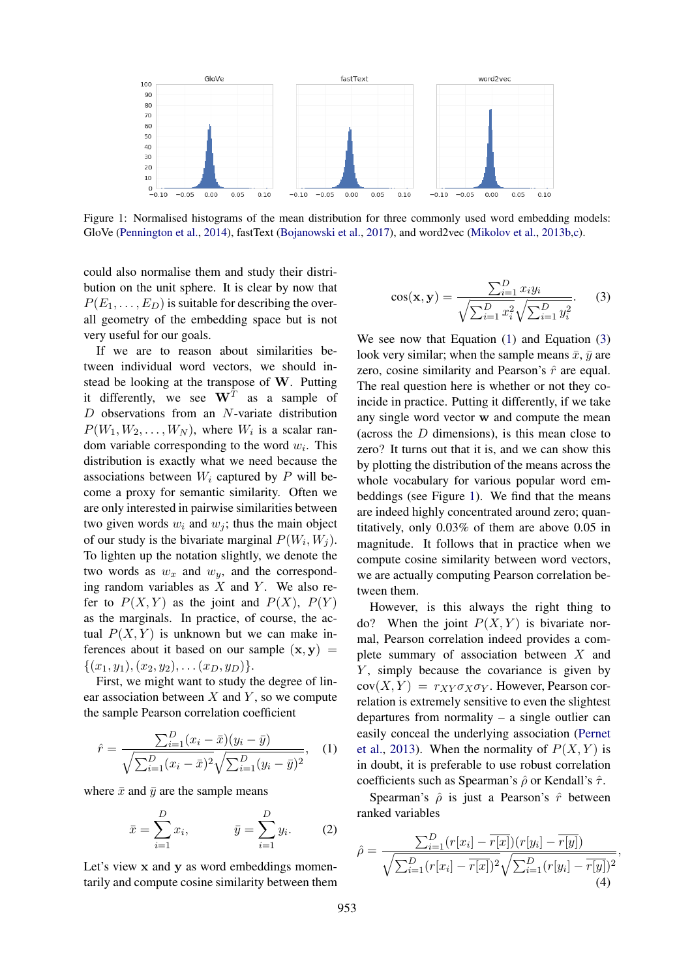<span id="page-2-2"></span>

Figure 1: Normalised histograms of the mean distribution for three commonly used word embedding models: GloVe [\(Pennington et al.,](#page-10-1) [2014](#page-10-1)), fastText [\(Bojanowski et al.](#page-9-1), [2017](#page-9-1)), and word2vec [\(Mikolov et al.](#page-10-10), [2013b](#page-10-10),[c](#page-10-11)).

could also normalise them and study their distribution on the unit sphere. It is clear by now that  $P(E_1, \ldots, E_D)$  is suitable for describing the overall geometry of the embedding space but is not very useful for our goals.

If we are to reason about similarities between individual word vectors, we should instead be looking at the transpose of **W**. Putting it differently, we see  $W<sup>T</sup>$  as a sample of *D* observations from an *N*-variate distribution  $P(W_1, W_2, \ldots, W_N)$ , where  $W_i$  is a scalar random variable corresponding to the word *w<sup>i</sup>* . This distribution is exactly what we need because the associations between  $W_i$  captured by  $P$  will become a proxy for semantic similarity. Often we are only interested in pairwise similarities between two given words  $w_i$  and  $w_j$ ; thus the main object of our study is the bivariate marginal  $P(W_i, W_j)$ . To lighten up the notation slightly, we denote the two words as  $w_x$  and  $w_y$ , and the corresponding random variables as *X* and *Y* . We also refer to  $P(X, Y)$  as the joint and  $P(X)$ ,  $P(Y)$ as the marginals. In practice, of course, the actual  $P(X, Y)$  is unknown but we can make inferences about it based on our sample  $(x, y)$  =  $\{(x_1, y_1), (x_2, y_2), \ldots, (x_D, y_D)\}.$ 

First, we might want to study the degree of linear association between *X* and *Y* , so we compute the sample Pearson correlation coefficient

$$
\hat{r} = \frac{\sum_{i=1}^{D} (x_i - \bar{x})(y_i - \bar{y})}{\sqrt{\sum_{i=1}^{D} (x_i - \bar{x})^2} \sqrt{\sum_{i=1}^{D} (y_i - \bar{y})^2}}, \quad (1)
$$

where  $\bar{x}$  and  $\bar{y}$  are the sample means

$$
\bar{x} = \sum_{i=1}^{D} x_i, \qquad \bar{y} = \sum_{i=1}^{D} y_i.
$$
 (2)

Let's view **x** and **y** as word embeddings momentarily and compute cosine similarity between them

<span id="page-2-1"></span>
$$
\cos(\mathbf{x}, \mathbf{y}) = \frac{\sum_{i=1}^{D} x_i y_i}{\sqrt{\sum_{i=1}^{D} x_i^2} \sqrt{\sum_{i=1}^{D} y_i^2}}.
$$
 (3)

We see now that Equation [\(1\)](#page-2-0) and Equation [\(3\)](#page-2-1) look very similar; when the sample means  $\bar{x}$ ,  $\bar{y}$  are zero, cosine similarity and Pearson's  $\hat{r}$  are equal. The real question here is whether or not they coincide in practice. Putting it differently, if we take any single word vector **w** and compute the mean (across the *D* dimensions), is this mean close to zero? It turns out that it is, and we can show this by plotting the distribution of the means across the whole vocabulary for various popular word embeddings (see Figure [1](#page-2-2)). We find that the means are indeed highly concentrated around zero; quantitatively, only 0.03% of them are above 0.05 in magnitude. It follows that in practice when we compute cosine similarity between word vectors, we are actually computing Pearson correlation between them.

However, is this always the right thing to do? When the joint  $P(X, Y)$  is bivariate normal, Pearson correlation indeed provides a complete summary of association between *X* and *Y*, simply because the covariance is given by  $cov(X, Y) = r_{XY} \sigma_X \sigma_Y$ . However, Pearson correlation is extremely sensitive to even the slightest departures from normality – a single outlier can easily conceal the underlying association ([Pernet](#page-10-12) [et al.](#page-10-12), [2013](#page-10-12)). When the normality of  $P(X, Y)$  is in doubt, it is preferable to use robust correlation coefficients such as Spearman's *ρ*ˆ or Kendall's *τ*ˆ.

<span id="page-2-0"></span>Spearman's *ρ*ˆ is just a Pearson's *r*ˆ between ranked variables

$$
\hat{\rho} = \frac{\sum_{i=1}^{D} (r[x_i] - \overline{r[x]})(r[y_i] - \overline{r[y]})}{\sqrt{\sum_{i=1}^{D} (r[x_i] - \overline{r[x]})^2} \sqrt{\sum_{i=1}^{D} (r[y_i] - \overline{r[y]})^2}}
$$
\n(4)

*,*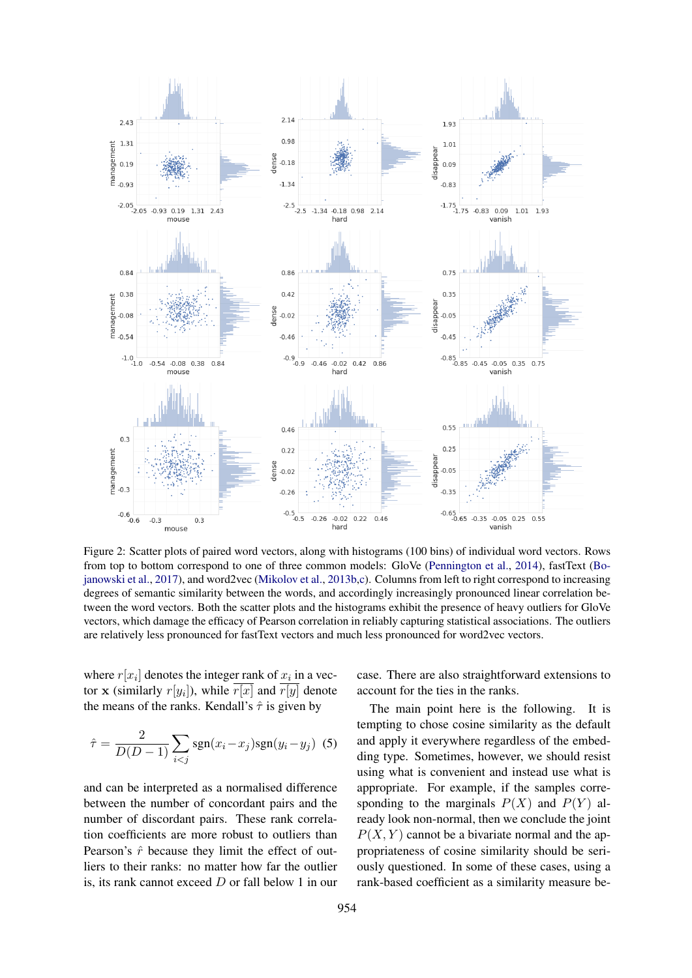<span id="page-3-0"></span>

Figure 2: Scatter plots of paired word vectors, along with histograms (100 bins) of individual word vectors. Rows from top to bottom correspond to one of three common models: GloVe [\(Pennington et al.,](#page-10-1) [2014](#page-10-1)), fastText ([Bo](#page-9-1)[janowski et al.,](#page-9-1) [2017](#page-9-1)), and word2vec [\(Mikolov et al.](#page-10-10), [2013b](#page-10-10)[,c\)](#page-10-11). Columns from left to right correspond to increasing degrees of semantic similarity between the words, and accordingly increasingly pronounced linear correlation between the word vectors. Both the scatter plots and the histograms exhibit the presence of heavy outliers for GloVe vectors, which damage the efficacy of Pearson correlation in reliably capturing statistical associations. The outliers are relatively less pronounced for fastText vectors and much less pronounced for word2vec vectors.

where  $r[x_i]$  denotes the integer rank of  $x_i$  in a vector **x** (similarly  $r[y_i]$ ), while  $r[x]$  and  $r[y]$  denote the means of the ranks. Kendall's *τ*ˆ is given by

$$
\hat{\tau} = \frac{2}{D(D-1)} \sum_{i < j} \text{sgn}(x_i - x_j) \text{sgn}(y_i - y_j) \tag{5}
$$

and can be interpreted as a normalised difference between the number of concordant pairs and the number of discordant pairs. These rank correlation coefficients are more robust to outliers than Pearson's  $\hat{r}$  because they limit the effect of outliers to their ranks: no matter how far the outlier is, its rank cannot exceed *D* or fall below 1 in our

case. There are also straightforward extensions to account for the ties in the ranks.

The main point here is the following. It is tempting to chose cosine similarity as the default and apply it everywhere regardless of the embedding type. Sometimes, however, we should resist using what is convenient and instead use what is appropriate. For example, if the samples corresponding to the marginals  $P(X)$  and  $P(Y)$  already look non-normal, then we conclude the joint  $P(X, Y)$  cannot be a bivariate normal and the appropriateness of cosine similarity should be seriously questioned. In some of these cases, using a rank-based coefficient as a similarity measure be-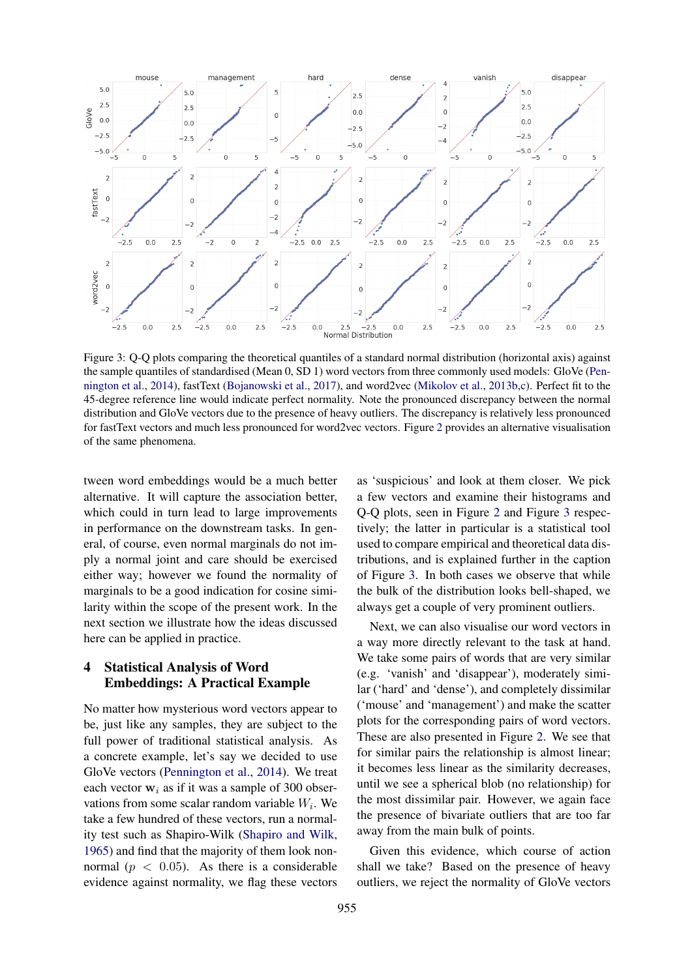<span id="page-4-0"></span>

Figure 3: Q-Q plots comparing the theoretical quantiles of a standard normal distribution (horizontal axis) against the sample quantiles of standardised (Mean 0, SD 1) word vectors from three commonly used models: GloVe [\(Pen](#page-10-1)[nington et al.](#page-10-1), [2014](#page-10-1)), fastText [\(Bojanowski et al.,](#page-9-1) [2017](#page-9-1)), and word2vec ([Mikolov et al.,](#page-10-10) [2013b,](#page-10-10)[c](#page-10-11)). Perfect fit to the 45-degree reference line would indicate perfect normality. Note the pronounced discrepancy between the normal distribution and GloVe vectors due to the presence of heavy outliers. The discrepancy is relatively less pronounced for fastText vectors and much less pronounced for word2vec vectors. Figure [2](#page-3-0) provides an alternative visualisation of the same phenomena.

tween word embeddings would be a much better alternative. It will capture the association better, which could in turn lead to large improvements in performance on the downstream tasks. In general, of course, even normal marginals do not imply a normal joint and care should be exercised either way; however we found the normality of marginals to be a good indication for cosine similarity within the scope of the present work. In the next section we illustrate how the ideas discussed here can be applied in practice.

## 4 Statistical Analysis of Word Embeddings: A Practical Example

No matter how mysterious word vectors appear to be, just like any samples, they are subject to the full power of traditional statistical analysis. As a concrete example, let's say we decided to use GloVe vectors ([Pennington et al.](#page-10-1), [2014\)](#page-10-1). We treat each vector  $w_i$  as if it was a sample of 300 observations from some scalar random variable *W<sup>i</sup>* . We take a few hundred of these vectors, run a normality test such as Shapiro-Wilk ([Shapiro and Wilk,](#page-11-10) [1965\)](#page-11-10) and find that the majority of them look nonnormal ( $p < 0.05$ ). As there is a considerable evidence against normality, we flag these vectors

as 'suspicious' and look at them closer. We pick a few vectors and examine their histograms and Q-Q plots, seen in Figure [2](#page-3-0) and Figure [3](#page-4-0) respectively; the latter in particular is a statistical tool used to compare empirical and theoretical data distributions, and is explained further in the caption of Figure [3](#page-4-0). In both cases we observe that while the bulk of the distribution looks bell-shaped, we always get a couple of very prominent outliers.

Next, we can also visualise our word vectors in a way more directly relevant to the task at hand. We take some pairs of words that are very similar (e.g. 'vanish' and 'disappear'), moderately similar ('hard' and 'dense'), and completely dissimilar ('mouse' and 'management') and make the scatter plots for the corresponding pairs of word vectors. These are also presented in Figure [2](#page-3-0). We see that for similar pairs the relationship is almost linear; it becomes less linear as the similarity decreases, until we see a spherical blob (no relationship) for the most dissimilar pair. However, we again face the presence of bivariate outliers that are too far away from the main bulk of points.

Given this evidence, which course of action shall we take? Based on the presence of heavy outliers, we reject the normality of GloVe vectors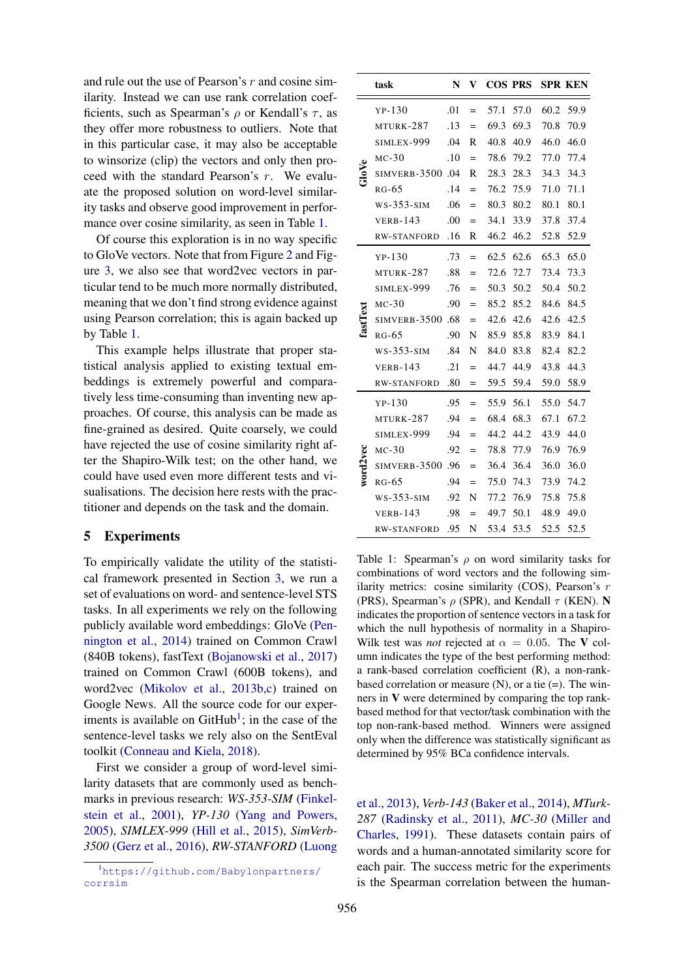and rule out the use of Pearson's *r* and cosine similarity. Instead we can use rank correlation coefficients, such as Spearman's *ρ* or Kendall's *τ* , as they offer more robustness to outliers. Note that in this particular case, it may also be acceptable to winsorize (clip) the vectors and only then proceed with the standard Pearson's *r*. We evaluate the proposed solution on word-level similarity tasks and observe good improvement in performance over cosine similarity, as seen in Table [1](#page-5-0).

Of course this exploration is in no way specific to GloVe vectors. Note that from Figure [2](#page-3-0) and Figure [3](#page-4-0), we also see that word2vec vectors in particular tend to be much more normally distributed, meaning that we don't find strong evidence against using Pearson correlation; this is again backed up by Table [1.](#page-5-0)

This example helps illustrate that proper statistical analysis applied to existing textual embeddings is extremely powerful and comparatively less time-consuming than inventing new approaches. Of course, this analysis can be made as fine-grained as desired. Quite coarsely, we could have rejected the use of cosine similarity right after the Shapiro-Wilk test; on the other hand, we could have used even more different tests and visualisations. The decision here rests with the practitioner and depends on the task and the domain.

### 5 Experiments

To empirically validate the utility of the statistical framework presented in Section [3](#page-1-0), we run a set of evaluations on word- and sentence-level STS tasks. In all experiments we rely on the following publicly available word embeddings: GloVe [\(Pen](#page-10-1)[nington et al.](#page-10-1), [2014](#page-10-1)) trained on Common Crawl (840B tokens), fastText [\(Bojanowski et al.,](#page-9-1) [2017\)](#page-9-1) trained on Common Crawl (600B tokens), and word2vec ([Mikolov et al.](#page-10-10), [2013b,](#page-10-10)[c](#page-10-11)) trained on Google News. All the source code for our experiments is available on  $G$ it $H$ ub<sup>[1](#page-5-1)</sup>; in the case of the sentence-level tasks we rely also on the SentEval toolkit ([Conneau and Kiela](#page-9-12), [2018\)](#page-9-12).

First we consider a group of word-level similarity datasets that are commonly used as benchmarks in previous research: *WS-353-SIM* ([Finkel](#page-10-13)[stein et al.](#page-10-13), [2001](#page-10-13)), *YP-130* [\(Yang and Powers,](#page-11-11) [2005\)](#page-11-11), *SIMLEX-999* ([Hill et al.,](#page-10-14) [2015](#page-10-14)), *SimVerb-3500* [\(Gerz et al.,](#page-10-15) [2016](#page-10-15)), *RW-STANFORD* ([Luong](#page-10-16)

<span id="page-5-0"></span>

|  | task                    | N   | V   |      | <b>COS PRS</b> |      | <b>SPR KEN</b> |
|--|-------------------------|-----|-----|------|----------------|------|----------------|
|  | $YP-130$                | .01 | $=$ | 57.1 | 57.0           | 60.2 | 59.9           |
|  | MTURK-287               | .13 | $=$ | 69.3 | 69.3           | 70.8 | 70.9           |
|  | simlex-999              | .04 | R   | 40.8 | 40.9           | 46.0 | 46.0           |
|  | $MC-30$                 | .10 | $=$ | 78.6 | 79.2           | 77.0 | 77.4           |
|  | SIMVERB-3500 .04        |     | R   | 28.3 | 28.3           | 34.3 | 34.3           |
|  | $RG-65$                 | .14 | $=$ | 76.2 | 75.9           | 71.0 | 71.1           |
|  | $WS-353-SIM$            | .06 | $=$ | 80.3 | 80.2           | 80.1 | 80.1           |
|  | <b>VERB-143</b>         | .00 | $=$ | 34.1 | 33.9           | 37.8 | 37.4           |
|  | <b>RW-STANFORD</b>      | .16 | R   | 46.2 | 46.2           | 52.8 | 52.9           |
|  | $YP-130$                | .73 | $=$ | 62.5 | 62.6           | 65.3 | 65.0           |
|  | MTURK-287               | .88 | $=$ | 72.6 | 72.7           | 73.4 | 73.3           |
|  | simlex-999              | .76 | $=$ | 50.3 | 50.2           | 50.4 | 50.2           |
|  | $MC-30$                 | .90 | $=$ | 85.2 | 85.2           | 84.6 | 84.5           |
|  | simverb-3500            | .68 | $=$ | 42.6 | 42.6           | 42.6 | 42.5           |
|  | $RG-65$                 | .90 | N   | 85.9 | 85.8           | 83.9 | 84.1           |
|  | $WS-353-SIM$            | .84 | N   | 84.0 | 83.8           | 82.4 | 82.2           |
|  | <b>VERB-143</b>         | .21 | $=$ | 44.7 | 44.9           | 43.8 | 44.3           |
|  | <b>RW-STANFORD</b>      | .80 | $=$ | 59.5 | 59.4           | 59.0 | 58.9           |
|  | $YP-130$                | .95 | $=$ | 55.9 | 56.1           | 55.0 | 54.7           |
|  | MTURK-287               | .94 | $=$ | 68.4 | 68.3           | 67.1 | 67.2           |
|  | simlex-999              | .94 | $=$ | 44.2 | 44.2           | 43.9 | 44.0           |
|  | $MC-30$                 | .92 | $=$ | 78.8 | 77.9           | 76.9 | 76.9           |
|  | <b>SIMVERB-3500 .96</b> |     | $=$ | 36.4 | 36.4           | 36.0 | 36.0           |
|  | $RG-65$                 | .94 | $=$ | 75.0 | 74.3           | 73.9 | 74.2           |
|  | ws-353-sim              | .92 | N   | 77.2 | 76.9           | 75.8 | 75.8           |
|  | <b>VERB-143</b>         | .98 | $=$ | 49.7 | 50.1           | 48.9 | 49.0           |
|  | <b>RW-STANFORD</b>      | .95 | N   | 53.4 | 53.5           | 52.5 | 52.5           |

Table 1: Spearman's *ρ* on word similarity tasks for combinations of word vectors and the following similarity metrics: cosine similarity (COS), Pearson's *r* (PRS), Spearman's *ρ* (SPR), and Kendall *τ* (KEN). N indicates the proportion of sentence vectors in a task for which the null hypothesis of normality in a Shapiro-Wilk test was *not* rejected at  $\alpha = 0.05$ . The V column indicates the type of the best performing method: a rank-based correlation coefficient (R), a non-rankbased correlation or measure  $(N)$ , or a tie  $(=)$ . The winners in V were determined by comparing the top rankbased method for that vector/task combination with the top non-rank-based method. Winners were assigned only when the difference was statistically significant as determined by 95% BCa confidence intervals.

et al., [2013\)](#page-10-16), *Verb-143* ([Baker et al.,](#page-9-13) [2014](#page-9-13)), *MTurk-287* ([Radinsky et al.,](#page-11-12) [2011\)](#page-11-12), *MC-30* [\(Miller and](#page-10-17) [Charles,](#page-10-17) [1991\)](#page-10-17). These datasets contain pairs of words and a human-annotated similarity score for each pair. The success metric for the experiments is the Spearman correlation between the human-

<span id="page-5-1"></span><sup>1</sup>[https://github.com/Babylonpartners/](#page-10-16) [corrsim](#page-10-16)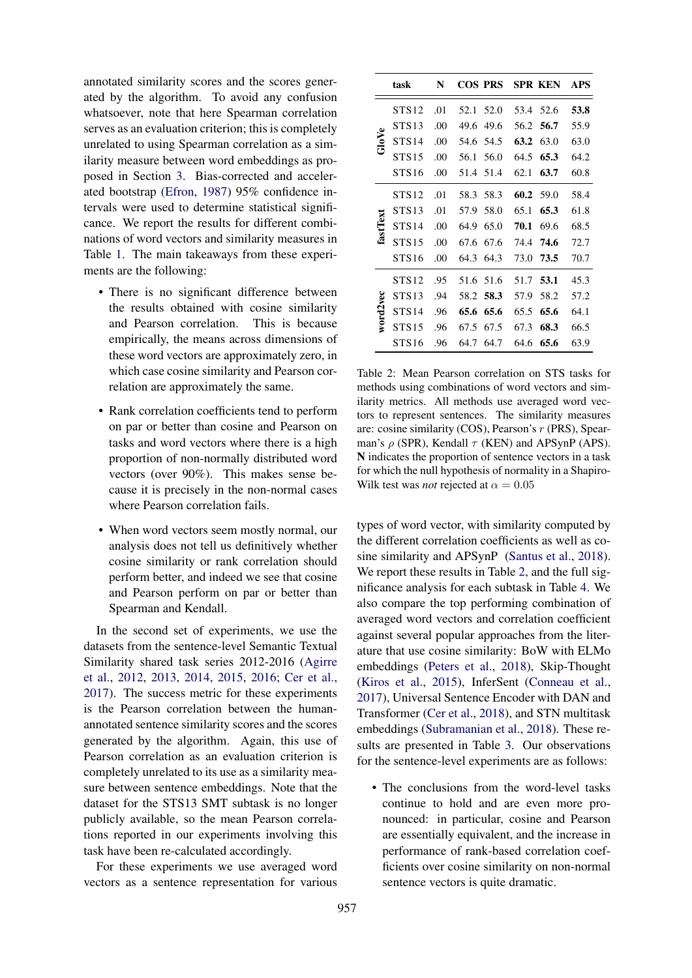annotated similarity scores and the scores generated by the algorithm. To avoid any confusion whatsoever, note that here Spearman correlation serves as an evaluation criterion; this is completely unrelated to using Spearman correlation as a similarity measure between word embeddings as proposed in Section [3](#page-1-0). Bias-corrected and accelerated bootstrap [\(Efron](#page-9-14), [1987\)](#page-9-14) 95% confidence intervals were used to determine statistical significance. We report the results for different combinations of word vectors and similarity measures in Table [1](#page-5-0). The main takeaways from these experiments are the following:

- There is no significant difference between the results obtained with cosine similarity and Pearson correlation. This is because empirically, the means across dimensions of these word vectors are approximately zero, in which case cosine similarity and Pearson correlation are approximately the same.
- Rank correlation coefficients tend to perform on par or better than cosine and Pearson on tasks and word vectors where there is a high proportion of non-normally distributed word vectors (over 90%). This makes sense because it is precisely in the non-normal cases where Pearson correlation fails.
- When word vectors seem mostly normal, our analysis does not tell us definitively whether cosine similarity or rank correlation should perform better, and indeed we see that cosine and Pearson perform on par or better than Spearman and Kendall.

In the second set of experiments, we use the datasets from the sentence-level Semantic Textual Similarity shared task series 2012-2016 ([Agirre](#page-9-15) [et al.,](#page-9-15) [2012](#page-9-15), [2013,](#page-9-16) [2014,](#page-8-0) [2015](#page-8-1), [2016;](#page-9-17) [Cer et al.,](#page-9-18) [2017\)](#page-9-18). The success metric for these experiments is the Pearson correlation between the humanannotated sentence similarity scores and the scores generated by the algorithm. Again, this use of Pearson correlation as an evaluation criterion is completely unrelated to its use as a similarity measure between sentence embeddings. Note that the dataset for the STS13 SMT subtask is no longer publicly available, so the mean Pearson correlations reported in our experiments involving this task have been re-calculated accordingly.

For these experiments we use averaged word vectors as a sentence representation for various

<span id="page-6-0"></span>

|                     | task         | N   | <b>COS PRS</b> |      |      | <b>SPR KEN</b> | APS  |
|---------------------|--------------|-----|----------------|------|------|----------------|------|
|                     | STS 12       | .01 | 52.1           | 52.0 | 53.4 | 52.6           | 53.8 |
|                     | STS13        | .00 | 49.6           | 49.6 | 56.2 | 56.7           | 55.9 |
| GloVe               | <b>STS14</b> | .00 | 54.6           | 54.5 | 63.2 | 63.0           | 63.0 |
|                     | STS15        | .00 | 56.1           | 56.0 | 64.5 | 65.3           | 64.2 |
|                     | STS16        | .00 | 51.4           | 51.4 | 62.1 | 63.7           | 60.8 |
|                     | STS12        | .01 | 58.3           | 58.3 | 60.2 | - 59.0         | 58.4 |
|                     | STS13        | .01 | 57.9           | 58.0 | 65.1 | 65.3           | 61.8 |
| $\mathbf{fastText}$ | STS14        | .00 | 64.9           | 65.0 | 70.1 | 69.6           | 68.5 |
|                     | <b>STS15</b> | .00 | 67.6           | 67.6 | 74.4 | 74.6           | 72.7 |
|                     | STS16        | .00 | 64.3           | 64.3 | 73.0 | 73.5           | 70.7 |
|                     | STS12        | .95 | 51.6           | 51.6 | 51.7 | 53.1           | 45.3 |
|                     | STS13        | .94 | 58.2           | 58.3 | 57.9 | 58.2           | 57.2 |
| word2vec            | STS14        | .96 | 65.6           | 65.6 | 65.5 | 65.6           | 64.1 |
|                     | STS15        | .96 | 67.5           | 67.5 | 67.3 | 68.3           | 66.5 |
|                     | STS16        | .96 | 64.7           | 64.7 | 64.6 | 65.6           | 63.9 |

Table 2: Mean Pearson correlation on STS tasks for methods using combinations of word vectors and similarity metrics. All methods use averaged word vectors to represent sentences. The similarity measures are: cosine similarity (COS), Pearson's *r* (PRS), Spearman's *ρ* (SPR), Kendall *τ* (KEN) and APSynP (APS). N indicates the proportion of sentence vectors in a task for which the null hypothesis of normality in a Shapiro-Wilk test was *not* rejected at  $\alpha = 0.05$ 

types of word vector, with similarity computed by the different correlation coefficients as well as cosine similarity and APSynP [\(Santus et al.,](#page-11-6) [2018](#page-11-6)). We report these results in Table [2,](#page-6-0) and the full significance analysis for each subtask in Table [4.](#page-8-2) We also compare the top performing combination of averaged word vectors and correlation coefficient against several popular approaches from the literature that use cosine similarity: BoW with ELMo embeddings ([Peters et al.,](#page-10-18) [2018](#page-10-18)), Skip-Thought ([Kiros et al.,](#page-10-5) [2015\)](#page-10-5), InferSent [\(Conneau et al.,](#page-9-4) [2017](#page-9-4)), Universal Sentence Encoder with DAN and Transformer ([Cer et al.](#page-9-5), [2018](#page-9-5)), and STN multitask embeddings [\(Subramanian et al.,](#page-11-5) [2018\)](#page-11-5). These results are presented in Table [3](#page-7-0). Our observations for the sentence-level experiments are as follows:

• The conclusions from the word-level tasks continue to hold and are even more pronounced: in particular, cosine and Pearson are essentially equivalent, and the increase in performance of rank-based correlation coefficients over cosine similarity on non-normal sentence vectors is quite dramatic.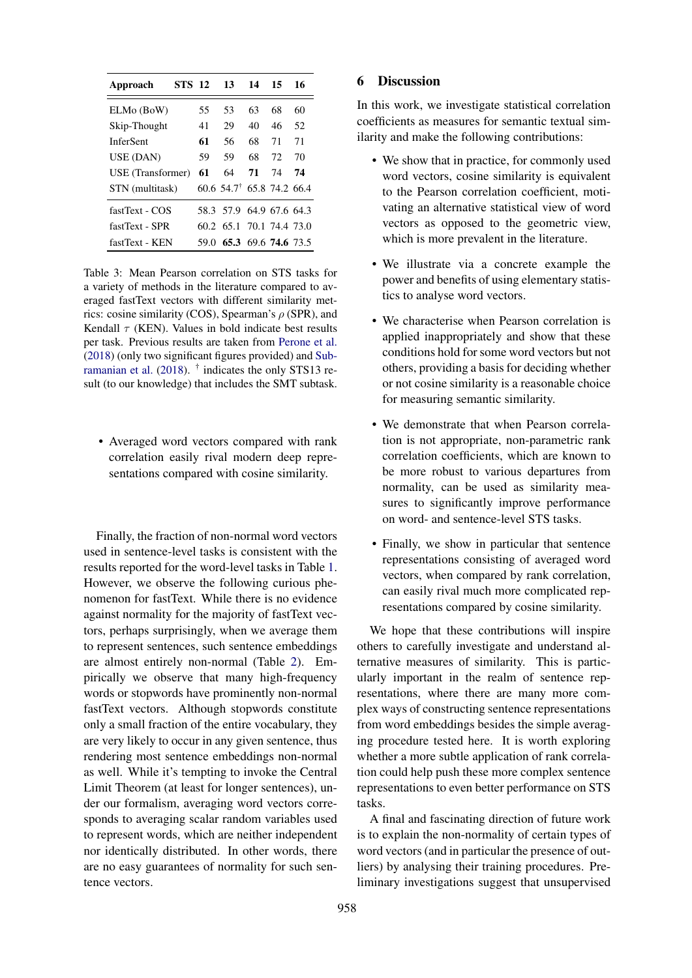<span id="page-7-0"></span>

| Approach          | STS 12 | 13                                      | 14 | 15 | 16 |
|-------------------|--------|-----------------------------------------|----|----|----|
| ELMo (BoW)        | 55     | 53                                      | 63 | 68 | 60 |
| Skip-Thought      | 41     | 29                                      | 40 | 46 | 52 |
| <b>InferSent</b>  | 61     | 56                                      | 68 | 71 | 71 |
| USE (DAN)         | 59     | 59                                      | 68 | 72 | 70 |
| USE (Transformer) | 61     | 64                                      | 71 | 74 | 74 |
| STN (multitask)   |        | $60.6$ 54.7 <sup>†</sup> 65.8 74.2 66.4 |    |    |    |
| fastText - COS    |        | 58.3 57.9 64.9 67.6 64.3                |    |    |    |
| fastText - SPR    |        | 60.2 65.1 70.1 74.4 73.0                |    |    |    |
| fastText - KEN    |        | 59.0 65.3 69.6 74.6 73.5                |    |    |    |

Table 3: Mean Pearson correlation on STS tasks for a variety of methods in the literature compared to averaged fastText vectors with different similarity metrics: cosine similarity (COS), Spearman's *ρ* (SPR), and Kendall  $\tau$  (KEN). Values in bold indicate best results per task. Previous results are taken from [Perone et al.](#page-10-19) [\(2018](#page-10-19)) (only two significant figures provided) and [Sub](#page-11-5)[ramanian et al.](#page-11-5) [\(2018\)](#page-11-5). † indicates the only STS13 result (to our knowledge) that includes the SMT subtask.

• Averaged word vectors compared with rank correlation easily rival modern deep representations compared with cosine similarity.

Finally, the fraction of non-normal word vectors used in sentence-level tasks is consistent with the results reported for the word-level tasks in Table [1.](#page-5-0) However, we observe the following curious phenomenon for fastText. While there is no evidence against normality for the majority of fastText vectors, perhaps surprisingly, when we average them to represent sentences, such sentence embeddings are almost entirely non-normal (Table [2\)](#page-6-0). Empirically we observe that many high-frequency words or stopwords have prominently non-normal fastText vectors. Although stopwords constitute only a small fraction of the entire vocabulary, they are very likely to occur in any given sentence, thus rendering most sentence embeddings non-normal as well. While it's tempting to invoke the Central Limit Theorem (at least for longer sentences), under our formalism, averaging word vectors corresponds to averaging scalar random variables used to represent words, which are neither independent nor identically distributed. In other words, there are no easy guarantees of normality for such sentence vectors.

### 6 Discussion

In this work, we investigate statistical correlation coefficients as measures for semantic textual similarity and make the following contributions:

- We show that in practice, for commonly used word vectors, cosine similarity is equivalent to the Pearson correlation coefficient, motivating an alternative statistical view of word vectors as opposed to the geometric view, which is more prevalent in the literature.
- We illustrate via a concrete example the power and benefits of using elementary statistics to analyse word vectors.
- We characterise when Pearson correlation is applied inappropriately and show that these conditions hold for some word vectors but not others, providing a basis for deciding whether or not cosine similarity is a reasonable choice for measuring semantic similarity.
- We demonstrate that when Pearson correlation is not appropriate, non-parametric rank correlation coefficients, which are known to be more robust to various departures from normality, can be used as similarity measures to significantly improve performance on word- and sentence-level STS tasks.
- Finally, we show in particular that sentence representations consisting of averaged word vectors, when compared by rank correlation, can easily rival much more complicated representations compared by cosine similarity.

We hope that these contributions will inspire others to carefully investigate and understand alternative measures of similarity. This is particularly important in the realm of sentence representations, where there are many more complex ways of constructing sentence representations from word embeddings besides the simple averaging procedure tested here. It is worth exploring whether a more subtle application of rank correlation could help push these more complex sentence representations to even better performance on STS tasks.

A final and fascinating direction of future work is to explain the non-normality of certain types of word vectors (and in particular the presence of outliers) by analysing their training procedures. Preliminary investigations suggest that unsupervised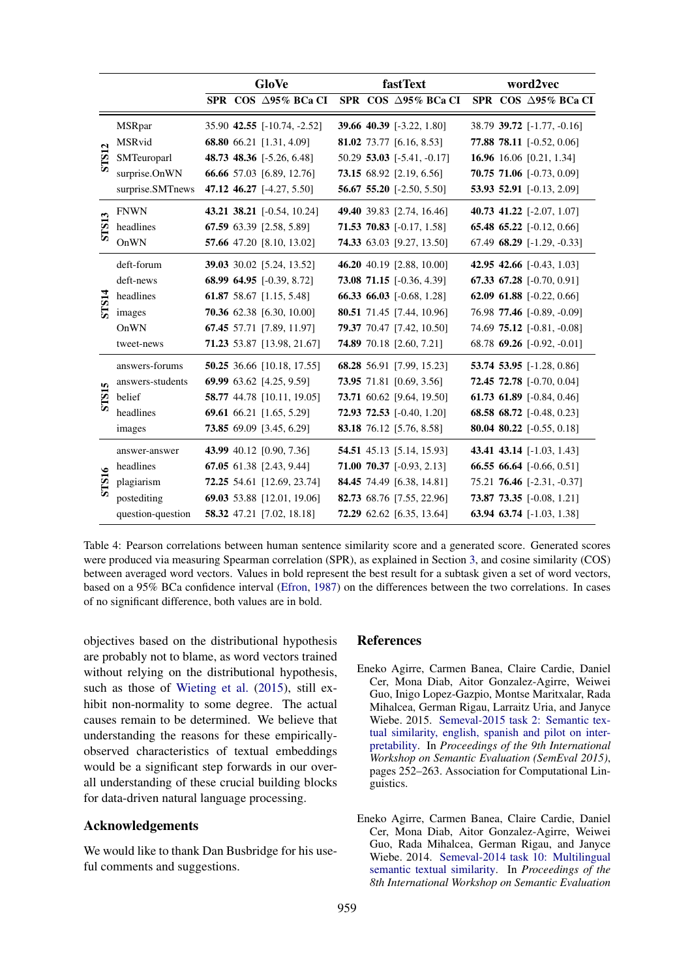<span id="page-8-2"></span>

|              |                   | <b>GloVe</b> |  | <b>fastText</b>                |  |  | word2vec                   |  |  |                             |  |
|--------------|-------------------|--------------|--|--------------------------------|--|--|----------------------------|--|--|-----------------------------|--|
|              |                   |              |  | SPR COS $\triangle$ 95% BCa CI |  |  | SPR COS 495% BCa CI        |  |  | SPR COS 495% BCa CI         |  |
|              | <b>MSRpar</b>     |              |  | 35.90 42.55 [-10.74, -2.52]    |  |  | 39.66 40.39 [-3.22, 1.80]  |  |  | 38.79 39.72 [-1.77, -0.16]  |  |
|              | <b>MSRvid</b>     |              |  | 68.80 66.21 [1.31, 4.09]       |  |  | 81.02 73.77 [6.16, 8.53]   |  |  | 77.88 78.11 [-0.52, 0.06]   |  |
| <b>STS12</b> | SMTeuroparl       |              |  | 48.73 48.36 [-5.26, 6.48]      |  |  | 50.29 53.03 [-5.41, -0.17] |  |  | 16.96 16.06 [0.21, 1.34]    |  |
|              | surprise.OnWN     |              |  | 66.66 57.03 [6.89, 12.76]      |  |  | 73.15 68.92 [2.19, 6.56]   |  |  | 70.75 71.06 [-0.73, 0.09]   |  |
|              | surprise.SMTnews  |              |  | 47.12 46.27 [-4.27, 5.50]      |  |  | 56.67 55.20 [-2.50, 5.50]  |  |  | 53.93 52.91 [-0.13, 2.09]   |  |
|              | <b>FNWN</b>       |              |  | 43.21 38.21 [-0.54, 10.24]     |  |  | 49.40 39.83 [2.74, 16.46]  |  |  | 40.73 41.22 [-2.07, 1.07]   |  |
| <b>STS13</b> | headlines         |              |  | 67.59 63.39 [2.58, 5.89]       |  |  | 71.53 70.83 [-0.17, 1.58]  |  |  | 65.48 65.22 $[-0.12, 0.66]$ |  |
|              | OnWN              |              |  | 57.66 47.20 [8.10, 13.02]      |  |  | 74.33 63.03 [9.27, 13.50]  |  |  | 67.49 68.29 [-1.29, -0.33]  |  |
|              | deft-forum        |              |  | 39.03 30.02 [5.24, 13.52]      |  |  | 46.20 40.19 [2.88, 10.00]  |  |  | 42.95 42.66 [-0.43, 1.03]   |  |
|              | deft-news         |              |  | 68.99 64.95 [-0.39, 8.72]      |  |  | 73.08 71.15 [-0.36, 4.39]  |  |  | 67.33 67.28 [-0.70, 0.91]   |  |
| <b>STS14</b> | headlines         |              |  | 61.87 58.67 [1.15, 5.48]       |  |  | 66.33 66.03 [-0.68, 1.28]  |  |  | 62.09 61.88 $[-0.22, 0.66]$ |  |
|              | images            |              |  | 70.36 62.38 [6.30, 10.00]      |  |  | 80.51 71.45 [7.44, 10.96]  |  |  | 76.98 77.46 [-0.89, -0.09]  |  |
|              | OnWN              |              |  | 67.45 57.71 [7.89, 11.97]      |  |  | 79.37 70.47 [7.42, 10.50]  |  |  | 74.69 75.12 [-0.81, -0.08]  |  |
|              | tweet-news        |              |  | 71.23 53.87 [13.98, 21.67]     |  |  | 74.89 70.18 [2.60, 7.21]   |  |  | 68.78 69.26 [-0.92, -0.01]  |  |
|              | answers-forums    |              |  | 50.25 36.66 [10.18, 17.55]     |  |  | 68.28 56.91 [7.99, 15.23]  |  |  | 53.74 53.95 [-1.28, 0.86]   |  |
| In           | answers-students  |              |  | 69.99 63.62 [4.25, 9.59]       |  |  | 73.95 71.81 [0.69, 3.56]   |  |  | 72.45 72.78 [-0.70, 0.04]   |  |
| <b>STS13</b> | belief            |              |  | 58.77 44.78 [10.11, 19.05]     |  |  | 73.71 60.62 [9.64, 19.50]  |  |  | 61.73 61.89 $[-0.84, 0.46]$ |  |
|              | headlines         |              |  | 69.61 66.21 [1.65, 5.29]       |  |  | 72.93 72.53 [-0.40, 1.20]  |  |  | 68.58 68.72 [-0.48, 0.23]   |  |
|              | images            |              |  | 73.85 69.09 [3.45, 6.29]       |  |  | 83.18 76.12 [5.76, 8.58]   |  |  | 80.04 80.22 [-0.55, 0.18]   |  |
|              | answer-answer     |              |  | 43.99 40.12 [0.90, 7.36]       |  |  | 54.51 45.13 [5.14, 15.93]  |  |  | 43.41 43.14 [-1.03, 1.43]   |  |
| <b>STS16</b> | headlines         |              |  | 67.05 61.38 [2.43, 9.44]       |  |  | 71.00 70.37 [-0.93, 2.13]  |  |  | 66.55 66.64 [-0.66, 0.51]   |  |
|              | plagiarism        |              |  | 72.25 54.61 [12.69, 23.74]     |  |  | 84.45 74.49 [6.38, 14.81]  |  |  | 75.21 76.46 [-2.31, -0.37]  |  |
|              | postediting       |              |  | 69.03 53.88 [12.01, 19.06]     |  |  | 82.73 68.76 [7.55, 22.96]  |  |  | 73.87 73.35 [-0.08, 1.21]   |  |
|              | question-question |              |  | 58.32 47.21 [7.02, 18.18]      |  |  | 72.29 62.62 [6.35, 13.64]  |  |  | 63.94 63.74 [-1.03, 1.38]   |  |

Table 4: Pearson correlations between human sentence similarity score and a generated score. Generated scores were produced via measuring Spearman correlation (SPR), as explained in Section [3,](#page-1-0) and cosine similarity (COS) between averaged word vectors. Values in bold represent the best result for a subtask given a set of word vectors, based on a 95% BCa confidence interval ([Efron,](#page-9-14) [1987\)](#page-9-14) on the differences between the two correlations. In cases of no significant difference, both values are in bold.

objectives based on the distributional hypothesis are probably not to blame, as word vectors trained without relying on the distributional hypothesis, such as those of [Wieting et al.](#page-11-7) [\(2015](#page-11-7)), still exhibit non-normality to some degree. The actual causes remain to be determined. We believe that understanding the reasons for these empiricallyobserved characteristics of textual embeddings would be a significant step forwards in our overall understanding of these crucial building blocks for data-driven natural language processing.

## Acknowledgements

We would like to thank Dan Busbridge for his useful comments and suggestions.

### References

- <span id="page-8-1"></span>Eneko Agirre, Carmen Banea, Claire Cardie, Daniel Cer, Mona Diab, Aitor Gonzalez-Agirre, Weiwei Guo, Inigo Lopez-Gazpio, Montse Maritxalar, Rada Mihalcea, German Rigau, Larraitz Uria, and Janyce Wiebe. 2015. [Semeval-2015 task 2: Semantic tex](https://doi.org/10.18653/v1/S15-2045)[tual similarity, english, spanish and pilot on inter](https://doi.org/10.18653/v1/S15-2045)[pretability](https://doi.org/10.18653/v1/S15-2045). In *Proceedings of the 9th International Workshop on Semantic Evaluation (SemEval 2015)*, pages 252–263. Association for Computational Linguistics.
- <span id="page-8-0"></span>Eneko Agirre, Carmen Banea, Claire Cardie, Daniel Cer, Mona Diab, Aitor Gonzalez-Agirre, Weiwei Guo, Rada Mihalcea, German Rigau, and Janyce Wiebe. 2014. [Semeval-2014 task 10: Multilingual](https://doi.org/10.3115/v1/S14-2010) [semantic textual similarity](https://doi.org/10.3115/v1/S14-2010). In *Proceedings of the 8th International Workshop on Semantic Evaluation*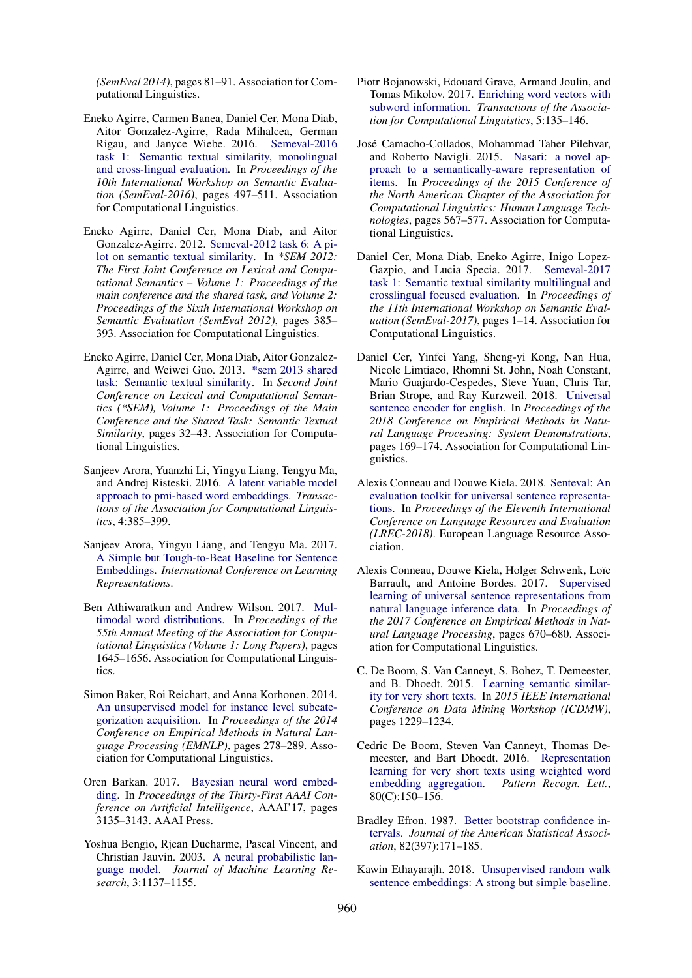*(SemEval 2014)*, pages 81–91. Association for Computational Linguistics.

- <span id="page-9-17"></span>Eneko Agirre, Carmen Banea, Daniel Cer, Mona Diab, Aitor Gonzalez-Agirre, Rada Mihalcea, German Rigau, and Janyce Wiebe. 2016. [Semeval-2016](https://doi.org/10.18653/v1/S16-1081) [task 1: Semantic textual similarity, monolingual](https://doi.org/10.18653/v1/S16-1081) [and cross-lingual evaluation.](https://doi.org/10.18653/v1/S16-1081) In *Proceedings of the 10th International Workshop on Semantic Evaluation (SemEval-2016)*, pages 497–511. Association for Computational Linguistics.
- <span id="page-9-15"></span>Eneko Agirre, Daniel Cer, Mona Diab, and Aitor Gonzalez-Agirre. 2012. [Semeval-2012 task 6: A pi](http://aclweb.org/anthology/S12-1051)[lot on semantic textual similarity](http://aclweb.org/anthology/S12-1051). In *\*SEM 2012: The First Joint Conference on Lexical and Computational Semantics – Volume 1: Proceedings of the main conference and the shared task, and Volume 2: Proceedings of the Sixth International Workshop on Semantic Evaluation (SemEval 2012)*, pages 385– 393. Association for Computational Linguistics.
- <span id="page-9-16"></span>Eneko Agirre, Daniel Cer, Mona Diab, Aitor Gonzalez-Agirre, and Weiwei Guo. 2013. [\\*sem 2013 shared](http://aclweb.org/anthology/S13-1004) [task: Semantic textual similarity.](http://aclweb.org/anthology/S13-1004) In *Second Joint Conference on Lexical and Computational Semantics (\*SEM), Volume 1: Proceedings of the Main Conference and the Shared Task: Semantic Textual Similarity*, pages 32–43. Association for Computational Linguistics.
- <span id="page-9-10"></span>Sanjeev Arora, Yuanzhi Li, Yingyu Liang, Tengyu Ma, and Andrej Risteski. 2016. [A latent variable model](http://aclweb.org/anthology/Q16-1028) [approach to pmi-based word embeddings](http://aclweb.org/anthology/Q16-1028). *Transactions of the Association for Computational Linguistics*, 4:385–399.
- <span id="page-9-3"></span>Sanjeev Arora, Yingyu Liang, and Tengyu Ma. 2017. [A Simple but Tough-to-Beat Baseline for Sentence](https://openreview.net/pdf?id=SyK00v5xx) [Embeddings.](https://openreview.net/pdf?id=SyK00v5xx) *International Conference on Learning Representations*.
- <span id="page-9-9"></span>Ben Athiwaratkun and Andrew Wilson. 2017. [Mul](https://doi.org/10.18653/v1/P17-1151)[timodal word distributions.](https://doi.org/10.18653/v1/P17-1151) In *Proceedings of the 55th Annual Meeting of the Association for Computational Linguistics (Volume 1: Long Papers)*, pages 1645–1656. Association for Computational Linguistics.
- <span id="page-9-13"></span>Simon Baker, Roi Reichart, and Anna Korhonen. 2014. [An unsupervised model for instance level subcate](https://doi.org/10.3115/v1/D14-1034)[gorization acquisition](https://doi.org/10.3115/v1/D14-1034). In *Proceedings of the 2014 Conference on Empirical Methods in Natural Language Processing (EMNLP)*, pages 278–289. Association for Computational Linguistics.
- <span id="page-9-8"></span>Oren Barkan. 2017. [Bayesian neural word embed](http://dl.acm.org/citation.cfm?id=3298023.3298025)[ding.](http://dl.acm.org/citation.cfm?id=3298023.3298025) In *Proceedings of the Thirty-First AAAI Conference on Artificial Intelligence*, AAAI'17, pages 3135–3143. AAAI Press.
- <span id="page-9-0"></span>Yoshua Bengio, Rjean Ducharme, Pascal Vincent, and Christian Jauvin. 2003. [A neural probabilistic lan](http://www.jmlr.org/papers/v3/bengio03a.html)[guage model](http://www.jmlr.org/papers/v3/bengio03a.html). *Journal of Machine Learning Research*, 3:1137–1155.
- <span id="page-9-1"></span>Piotr Bojanowski, Edouard Grave, Armand Joulin, and Tomas Mikolov. 2017. [Enriching word vectors with](http://aclweb.org/anthology/Q17-1010) [subword information.](http://aclweb.org/anthology/Q17-1010) *Transactions of the Association for Computational Linguistics*, 5:135–146.
- <span id="page-9-6"></span>Jose Camacho-Collados, Mohammad Taher Pilehvar, ´ and Roberto Navigli. 2015. [Nasari: a novel ap](https://doi.org/10.3115/v1/N15-1059)[proach to a semantically-aware representation of](https://doi.org/10.3115/v1/N15-1059) [items.](https://doi.org/10.3115/v1/N15-1059) In *Proceedings of the 2015 Conference of the North American Chapter of the Association for Computational Linguistics: Human Language Technologies*, pages 567–577. Association for Computational Linguistics.
- <span id="page-9-18"></span>Daniel Cer, Mona Diab, Eneko Agirre, Inigo Lopez-Gazpio, and Lucia Specia. 2017. [Semeval-2017](https://doi.org/10.18653/v1/S17-2001) [task 1: Semantic textual similarity multilingual and](https://doi.org/10.18653/v1/S17-2001) [crosslingual focused evaluation.](https://doi.org/10.18653/v1/S17-2001) In *Proceedings of the 11th International Workshop on Semantic Evaluation (SemEval-2017)*, pages 1–14. Association for Computational Linguistics.
- <span id="page-9-5"></span>Daniel Cer, Yinfei Yang, Sheng-yi Kong, Nan Hua, Nicole Limtiaco, Rhomni St. John, Noah Constant, Mario Guajardo-Cespedes, Steve Yuan, Chris Tar, Brian Strope, and Ray Kurzweil. 2018. [Universal](http://aclweb.org/anthology/D18-2029) [sentence encoder for english.](http://aclweb.org/anthology/D18-2029) In *Proceedings of the 2018 Conference on Empirical Methods in Natural Language Processing: System Demonstrations*, pages 169–174. Association for Computational Linguistics.
- <span id="page-9-12"></span>Alexis Conneau and Douwe Kiela. 2018. [Senteval: An](http://aclweb.org/anthology/L18-1269) [evaluation toolkit for universal sentence representa](http://aclweb.org/anthology/L18-1269)[tions.](http://aclweb.org/anthology/L18-1269) In *Proceedings of the Eleventh International Conference on Language Resources and Evaluation (LREC-2018)*. European Language Resource Association.
- <span id="page-9-4"></span>Alexis Conneau, Douwe Kiela, Holger Schwenk, Loïc Barrault, and Antoine Bordes. 2017. [Supervised](https://doi.org/10.18653/v1/D17-1070) [learning of universal sentence representations from](https://doi.org/10.18653/v1/D17-1070) [natural language inference data](https://doi.org/10.18653/v1/D17-1070). In *Proceedings of the 2017 Conference on Empirical Methods in Natural Language Processing*, pages 670–680. Association for Computational Linguistics.
- <span id="page-9-7"></span>C. De Boom, S. Van Canneyt, S. Bohez, T. Demeester, and B. Dhoedt. 2015. [Learning semantic similar](https://doi.org/10.1109/ICDMW.2015.86)[ity for very short texts.](https://doi.org/10.1109/ICDMW.2015.86) In *2015 IEEE International Conference on Data Mining Workshop (ICDMW)*, pages 1229–1234.
- <span id="page-9-2"></span>Cedric De Boom, Steven Van Canneyt, Thomas Demeester, and Bart Dhoedt. 2016. [Representation](https://doi.org/10.1016/j.patrec.2016.06.012) [learning for very short texts using weighted word](https://doi.org/10.1016/j.patrec.2016.06.012) [embedding aggregation](https://doi.org/10.1016/j.patrec.2016.06.012). *Pattern Recogn. Lett.*, 80(C):150–156.
- <span id="page-9-14"></span>Bradley Efron. 1987. [Better bootstrap confidence in](https://doi.org/10.1080/01621459.1987.10478410)[tervals](https://doi.org/10.1080/01621459.1987.10478410). *Journal of the American Statistical Association*, 82(397):171–185.
- <span id="page-9-11"></span>Kawin Ethayarajh. 2018. [Unsupervised random walk](http://aclweb.org/anthology/W18-3012) [sentence embeddings: A strong but simple baseline](http://aclweb.org/anthology/W18-3012).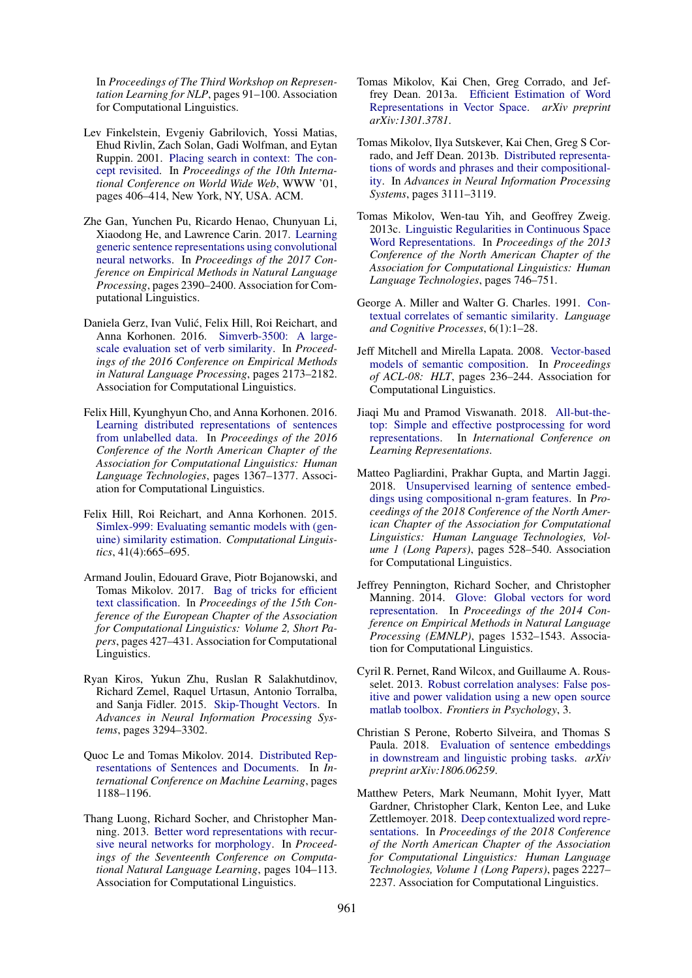In *Proceedings of The Third Workshop on Representation Learning for NLP*, pages 91–100. Association for Computational Linguistics.

- <span id="page-10-13"></span>Lev Finkelstein, Evgeniy Gabrilovich, Yossi Matias, Ehud Rivlin, Zach Solan, Gadi Wolfman, and Eytan Ruppin. 2001. [Placing search in context: The con](https://doi.org/10.1145/371920.372094)[cept revisited.](https://doi.org/10.1145/371920.372094) In *Proceedings of the 10th International Conference on World Wide Web*, WWW '01, pages 406–414, New York, NY, USA. ACM.
- <span id="page-10-7"></span>Zhe Gan, Yunchen Pu, Ricardo Henao, Chunyuan Li, Xiaodong He, and Lawrence Carin. 2017. [Learning](https://doi.org/10.18653/v1/D17-1254) [generic sentence representations using convolutional](https://doi.org/10.18653/v1/D17-1254) [neural networks.](https://doi.org/10.18653/v1/D17-1254) In *Proceedings of the 2017 Conference on Empirical Methods in Natural Language Processing*, pages 2390–2400. Association for Computational Linguistics.
- <span id="page-10-15"></span>Daniela Gerz, Ivan Vulic, Felix Hill, Roi Reichart, and ´ Anna Korhonen. 2016. [Simverb-3500: A large](https://doi.org/10.18653/v1/D16-1235)[scale evaluation set of verb similarity.](https://doi.org/10.18653/v1/D16-1235) In *Proceedings of the 2016 Conference on Empirical Methods in Natural Language Processing*, pages 2173–2182. Association for Computational Linguistics.
- <span id="page-10-6"></span>Felix Hill, Kyunghyun Cho, and Anna Korhonen. 2016. [Learning distributed representations of sentences](https://doi.org/10.18653/v1/N16-1162) [from unlabelled data.](https://doi.org/10.18653/v1/N16-1162) In *Proceedings of the 2016 Conference of the North American Chapter of the Association for Computational Linguistics: Human Language Technologies*, pages 1367–1377. Association for Computational Linguistics.
- <span id="page-10-14"></span>Felix Hill, Roi Reichart, and Anna Korhonen. 2015. [Simlex-999: Evaluating semantic models with \(gen](https://doi.org/10.1162/COLI_a_00237)[uine\) similarity estimation](https://doi.org/10.1162/COLI_a_00237). *Computational Linguistics*, 41(4):665–695.
- <span id="page-10-2"></span>Armand Joulin, Edouard Grave, Piotr Bojanowski, and Tomas Mikolov. 2017. [Bag of tricks for efficient](http://aclweb.org/anthology/E17-2068) [text classification.](http://aclweb.org/anthology/E17-2068) In *Proceedings of the 15th Conference of the European Chapter of the Association for Computational Linguistics: Volume 2, Short Papers*, pages 427–431. Association for Computational Linguistics.
- <span id="page-10-5"></span>Ryan Kiros, Yukun Zhu, Ruslan R Salakhutdinov, Richard Zemel, Raquel Urtasun, Antonio Torralba, and Sanja Fidler. 2015. [Skip-Thought Vectors.](https://papers.nips.cc/paper/5950-skip-thought-vectors.pdf) In *Advances in Neural Information Processing Systems*, pages 3294–3302.
- <span id="page-10-4"></span>Quoc Le and Tomas Mikolov. 2014. [Distributed Rep](http://proceedings.mlr.press/v32/le14.pdf)[resentations of Sentences and Documents.](http://proceedings.mlr.press/v32/le14.pdf) In *International Conference on Machine Learning*, pages 1188–1196.
- <span id="page-10-16"></span>Thang Luong, Richard Socher, and Christopher Manning. 2013. [Better word representations with recur](http://aclweb.org/anthology/W13-3512)[sive neural networks for morphology.](http://aclweb.org/anthology/W13-3512) In *Proceedings of the Seventeenth Conference on Computational Natural Language Learning*, pages 104–113. Association for Computational Linguistics.
- <span id="page-10-0"></span>Tomas Mikolov, Kai Chen, Greg Corrado, and Jeffrey Dean. 2013a. [Efficient Estimation of Word](http://arxiv.org/abs/1301.3781) [Representations in Vector Space](http://arxiv.org/abs/1301.3781). *arXiv preprint arXiv:1301.3781*.
- <span id="page-10-10"></span>Tomas Mikolov, Ilya Sutskever, Kai Chen, Greg S Corrado, and Jeff Dean. 2013b. [Distributed representa](https://papers.nips.cc/paper/5021-distributed-representations-of-words-and-phrases-and-their-compositionality.pdf)[tions of words and phrases and their compositional](https://papers.nips.cc/paper/5021-distributed-representations-of-words-and-phrases-and-their-compositionality.pdf)[ity.](https://papers.nips.cc/paper/5021-distributed-representations-of-words-and-phrases-and-their-compositionality.pdf) In *Advances in Neural Information Processing Systems*, pages 3111–3119.
- <span id="page-10-11"></span>Tomas Mikolov, Wen-tau Yih, and Geoffrey Zweig. 2013c. [Linguistic Regularities in Continuous Space](https://www.aclweb.org/anthology/N13-1090) [Word Representations.](https://www.aclweb.org/anthology/N13-1090) In *Proceedings of the 2013 Conference of the North American Chapter of the Association for Computational Linguistics: Human Language Technologies*, pages 746–751.
- <span id="page-10-17"></span>George A. Miller and Walter G. Charles. 1991. [Con](https://doi.org/10.1080/01690969108406936)[textual correlates of semantic similarity](https://doi.org/10.1080/01690969108406936). *Language and Cognitive Processes*, 6(1):1–28.
- <span id="page-10-3"></span>Jeff Mitchell and Mirella Lapata. 2008. [Vector-based](http://aclweb.org/anthology/P08-1028) [models of semantic composition](http://aclweb.org/anthology/P08-1028). In *Proceedings of ACL-08: HLT*, pages 236–244. Association for Computational Linguistics.
- <span id="page-10-9"></span>Jiaqi Mu and Pramod Viswanath. 2018. [All-but-the](https://openreview.net/forum?id=HkuGJ3kCb)[top: Simple and effective postprocessing for word](https://openreview.net/forum?id=HkuGJ3kCb) [representations](https://openreview.net/forum?id=HkuGJ3kCb). In *International Conference on Learning Representations*.
- <span id="page-10-8"></span>Matteo Pagliardini, Prakhar Gupta, and Martin Jaggi. 2018. [Unsupervised learning of sentence embed](https://doi.org/10.18653/v1/N18-1049)[dings using compositional n-gram features](https://doi.org/10.18653/v1/N18-1049). In *Proceedings of the 2018 Conference of the North American Chapter of the Association for Computational Linguistics: Human Language Technologies, Volume 1 (Long Papers)*, pages 528–540. Association for Computational Linguistics.
- <span id="page-10-1"></span>Jeffrey Pennington, Richard Socher, and Christopher Manning. 2014. [Glove: Global vectors for word](https://doi.org/10.3115/v1/D14-1162) [representation.](https://doi.org/10.3115/v1/D14-1162) In *Proceedings of the 2014 Conference on Empirical Methods in Natural Language Processing (EMNLP)*, pages 1532–1543. Association for Computational Linguistics.
- <span id="page-10-12"></span>Cyril R. Pernet, Rand Wilcox, and Guillaume A. Rousselet. 2013. [Robust correlation analyses: False pos](https://doi.org/10.3389/fpsyg.2012.00606)[itive and power validation using a new open source](https://doi.org/10.3389/fpsyg.2012.00606) [matlab toolbox](https://doi.org/10.3389/fpsyg.2012.00606). *Frontiers in Psychology*, 3.
- <span id="page-10-19"></span>Christian S Perone, Roberto Silveira, and Thomas S Paula. 2018. [Evaluation of sentence embeddings](https://arxiv.org/pdf/1806.06259.pdf) [in downstream and linguistic probing tasks](https://arxiv.org/pdf/1806.06259.pdf). *arXiv preprint arXiv:1806.06259*.
- <span id="page-10-18"></span>Matthew Peters, Mark Neumann, Mohit Iyyer, Matt Gardner, Christopher Clark, Kenton Lee, and Luke Zettlemoyer. 2018. [Deep contextualized word repre](https://doi.org/10.18653/v1/N18-1202)[sentations](https://doi.org/10.18653/v1/N18-1202). In *Proceedings of the 2018 Conference of the North American Chapter of the Association for Computational Linguistics: Human Language Technologies, Volume 1 (Long Papers)*, pages 2227– 2237. Association for Computational Linguistics.